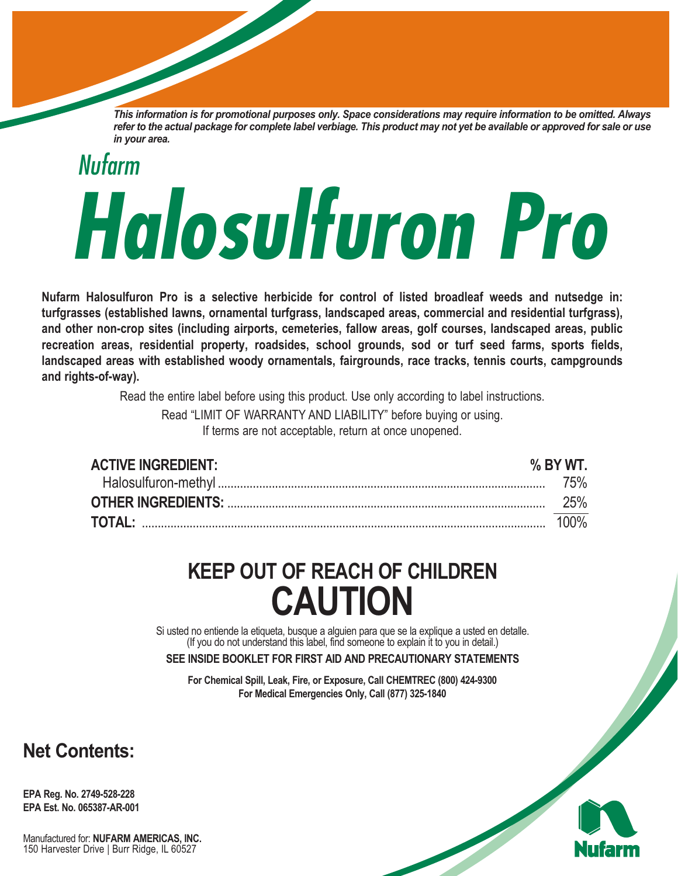This information is for promotional purposes only. Space considerations may require information to be omitted. Always refer to the actual package for complete label verbiage. This product may not yet be available or approved for sale or use *in your area.*

# *Nufarm Halosulfuron Pro*

**Nufarm Halosulfuron Pro is a selective herbicide for control of listed broadleaf weeds and nutsedge in: turfgrasses (established lawns, ornamental turfgrass, landscaped areas, commercial and residential turfgrass), and other non-crop sites (including airports, cemeteries, fallow areas, golf courses, landscaped areas, public recreation areas, residential property, roadsides, school grounds, sod or turf seed farms, sports fields, landscaped areas with established woody ornamentals, fairgrounds, race tracks, tennis courts, campgrounds and rights-of-way).**

Read the entire label before using this product. Use only according to label instructions.

Read "LIMIT OF WARRANTY AND LIABILITY" before buying or using.

If terms are not acceptable, return at once unopened.

| <b>ACTIVE INGREDIENT:</b> | % BY WT.   |
|---------------------------|------------|
|                           |            |
|                           | <b>25%</b> |
|                           | 100%       |

## **KEEP OUT OF REACH OF CHILDREN CAUTION**

Si usted no entiende la etiqueta, busque <sup>a</sup> alguien para que se la explique <sup>a</sup> usted en detalle. (If you do not understand this label, find someone to explain it to you in detail.)

**SEE INSIDE BOOKLET FOR FIRST AID AND PRECAUTIONARY STATEMENTS**

**For Chemical Spill, Leak, Fire, or Exposure, Call CHEMTREC (800) 424-9300 For Medical Emergencies Only, Call (877) 325-1840**

### **Net Contents:**

**EPA Reg. No. 2749-528-228 EPA Est. No. 065387-AR-001**

Manufactured for: **NUFARM AMERICAS, INC.** <sup>150</sup> Harvester Drive <sup>|</sup> Burr Ridge, IL <sup>60527</sup>

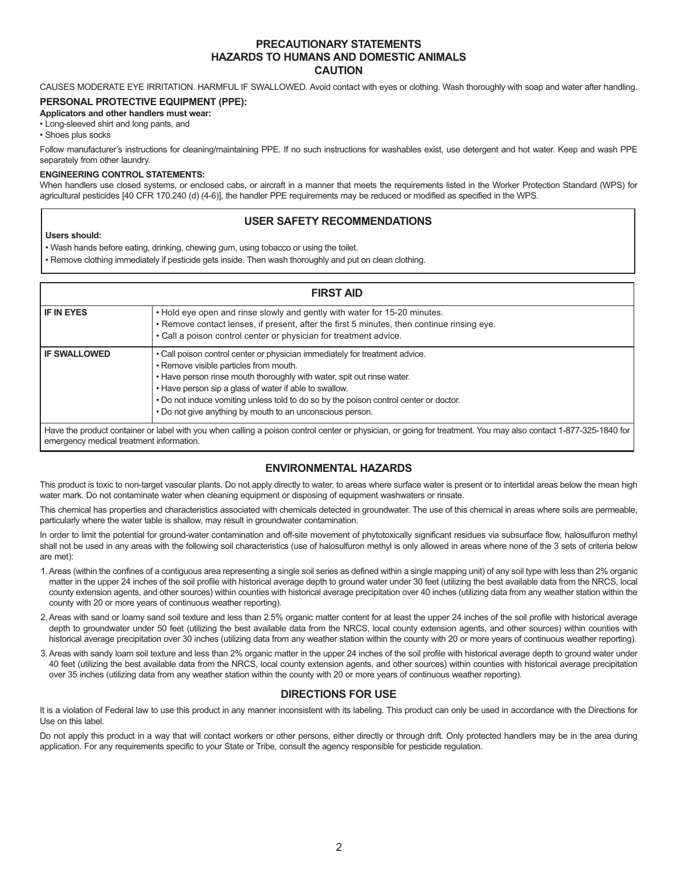#### **PRECAUTIONARY STATEMENTS HAZARDS TO HUMANS AND DOMESTIC ANIMALS CAUTION**

CAUSES MODERATE EYE IRRITATION. HARMFUL IF SWALLOWED. Avoid contact with eyes or clothing. Wash thoroughly with soap and water after handling.

#### **PERSONAL PROTECTIVE EQUIPMENT (PPE):**

#### **Applicators and other handlers must wear:**

• Long-sleeved shirt and long pants, and

• Shoes plus socks

Follow manufacturer's instructions for cleaning/maintaining PPE. If no such instructions for washables exist, use detergent and hot water. Keep and wash PPE separately from other laundry.

#### **ENGINEERING CONTROL STATEMENTS:**

When handlers use closed systems, or enclosed cabs, or aircraft in a manner that meets the requirements listed in the Worker Protection Standard (WPS) for agricultural pesticides [40 CFR 170.240 (d) (4-6)], the handler PPE requirements may be reduced or modified as specified in the WPS.

#### **USER SAFETY RECOMMENDATIONS**

#### **Users should:**

• Wash hands before eating, drinking, chewing gum, using tobacco or using the toilet.

• Remove clothing immediately if pesticide gets inside. Then wash thoroughly and put on clean clothing.

| <b>FIRST AID</b>                         |                                                                                                                                                                                                                                                                                                                                                                                                                 |  |  |  |
|------------------------------------------|-----------------------------------------------------------------------------------------------------------------------------------------------------------------------------------------------------------------------------------------------------------------------------------------------------------------------------------------------------------------------------------------------------------------|--|--|--|
| <b>IF IN EYES</b>                        | . Hold eye open and rinse slowly and gently with water for 15-20 minutes.<br>. Remove contact lenses, if present, after the first 5 minutes, then continue rinsing eye.<br>• Call a poison control center or physician for treatment advice.                                                                                                                                                                    |  |  |  |
| I IF SWALLOWED                           | . Call poison control center or physician immediately for treatment advice.<br>• Remove visible particles from mouth.<br>. Have person rinse mouth thoroughly with water, spit out rinse water.<br>. Have person sip a glass of water if able to swallow.<br>. Do not induce vomiting unless told to do so by the poison control center or doctor.<br>. Do not give anything by mouth to an unconscious person. |  |  |  |
| emergency medical treatment information. | Have the product container or label with you when calling a poison control center or physician, or going for treatment. You may also contact 1-877-325-1840 for                                                                                                                                                                                                                                                 |  |  |  |

#### **ENVIRONMENTAL HAZARDS**

This product is toxic to non-target vascular plants. Do not apply directly to water, to areas where surface water is present or to intertidal areas below the mean high water mark. Do not contaminate water when cleaning equipment or disposing of equipment washwaters or rinsate.

This chemical has properties and characteristics associated with chemicals detected in groundwater. The use of this chemical in areas where soils are permeable, particularly where the water table is shallow, may result in groundwater contamination.

In order to limit the potential for ground-water contamination and off-site movement of phytotoxically significant residues via subsurface flow, halosulfuron methyl shall not be used in any areas with the following soil characteristics (use of halosulfuron methyl is only allowed in areas where none of the 3 sets of criteria below are met):

- 1.Areas (within the confines of a contiguous area representing a single soil series as defined within a single mapping unit) of any soil type with less than 2% organic matter in the upper 24 inches of the soil profile with historical average depth to ground water under 30 feet (utilizing the best available data from the NRCS, local county extension agents, and other sources) within counties with historical average precipitation over 40 inches (utilizing data from any weather station within the county with 20 or more years of continuous weather reporting).
- 2.Areas with sand or loamy sand soil texture and less than 2.5% organic matter content for at least the upper 24 inches of the soil profile with historical average depth to groundwater under 50 feet (utilizing the best available data from the NRCS, local county extension agents, and other sources) within counties with historical average precipitation over 30 inches (utilizing data from any weather station within the county with 20 or more years of continuous weather reporting).
- 3.Areas with sandy loam soil texture and less than 2% organic matter in the upper 24 inches of the soil profile with historical average depth to ground water under 40 feet (utilizing the best available data from the NRCS, local county extension agents, and other sources) within counties with historical average precipitation over 35 inches (utilizing data from any weather station within the county with 20 or more years of continuous weather reporting).

#### **DIRECTIONS FOR USE**

It is a violation of Federal law to use this product in any manner inconsistent with its labeling. This product can only be used in accordance with the Directions for Use on this label.

Do not apply this product in a way that will contact workers or other persons, either directly or through drift. Only protected handlers may be in the area during application. For any requirements specific to your State or Tribe, consult the agency responsible for pesticide regulation.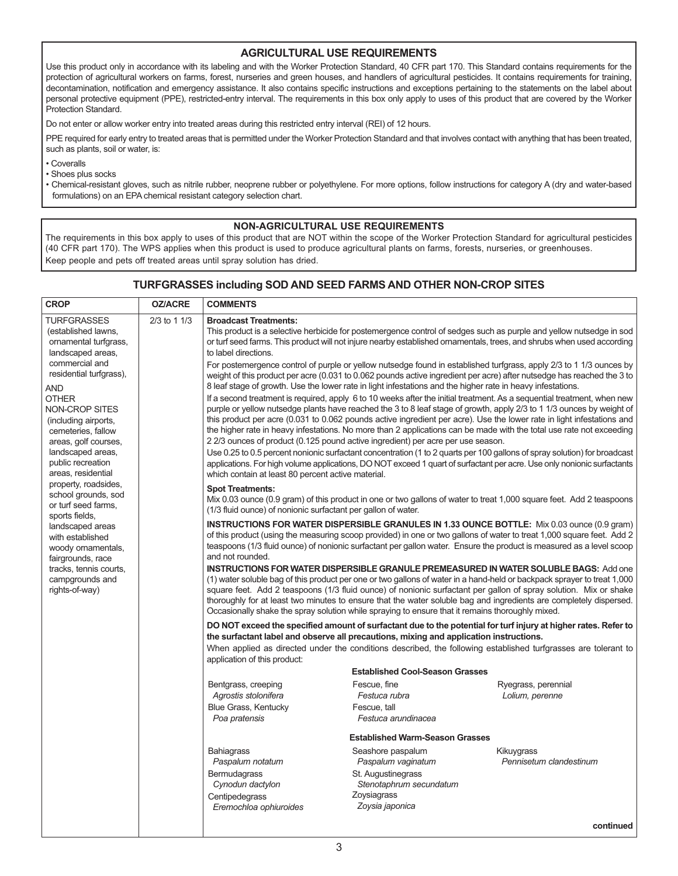#### **AGRICULTURAL USE REQUIREMENTS**

Use this product only in accordance with its labeling and with the Worker Protection Standard, 40 CFR part 170. This Standard contains requirements for the protection of agricultural workers on farms, forest, nurseries and green houses, and handlers of agricultural pesticides. It contains requirements for training, decontamination, notification and emergency assistance. It also contains specific instructions and exceptions pertaining to the statements on the label about personal protective equipment (PPE), restricted-entry interval. The requirements in this box only apply to uses of this product that are covered by the Worker Protection Standard.

Do not enter or allow worker entry into treated areas during this restricted entry interval (REI) of 12 hours.

PPE required for early entry to treated areas that is permitted under the Worker Protection Standard and that involves contact with anything that has been treated, such as plants, soil or water, is:

• Coveralls

• Shoes plus socks

• Chemical-resistant gloves, such as nitrile rubber, neoprene rubber or polyethylene. For more options, follow instructions for category A (dry and water-based formulations) on an EPA chemical resistant category selection chart.

#### **NON-AGRICULTURAL USE REQUIREMENTS**

The requirements in this box apply to uses of this product that are NOT within the scope of the Worker Protection Standard for agricultural pesticides (40 CFR part 170). The WPS applies when this product is used to produce agricultural plants on farms, forests, nurseries, or greenhouses. Keep people and pets off treated areas until spray solution has dried.

#### **TURFGRASSES including SOD AND SEED FARMS AND OTHER NON-CROP SITES**

| CROP                                                                                                                                                                                                                                                                                                                                                                                                                                                                                                                                                   | <b>OZ/ACRE</b> | <b>COMMENTS</b>                                                                                                                                |                                                                                                             |                                                                                                                                                                                                                                                                                                                                                                                                                                                                                                |
|--------------------------------------------------------------------------------------------------------------------------------------------------------------------------------------------------------------------------------------------------------------------------------------------------------------------------------------------------------------------------------------------------------------------------------------------------------------------------------------------------------------------------------------------------------|----------------|------------------------------------------------------------------------------------------------------------------------------------------------|-------------------------------------------------------------------------------------------------------------|------------------------------------------------------------------------------------------------------------------------------------------------------------------------------------------------------------------------------------------------------------------------------------------------------------------------------------------------------------------------------------------------------------------------------------------------------------------------------------------------|
| <b>TURFGRASSES</b><br>(established lawns,<br>ornamental turfgrass,<br>landscaped areas.<br>commercial and<br>residential turfgrass),<br>and<br>OTHER<br>NON-CROP SITES<br>(including airports,<br>cemeteries, fallow<br>areas, golf courses,<br>landscaped areas,<br>public recreation<br>areas, residential<br>property, roadsides,<br>school grounds, sod<br>or turf seed farms,<br>sports fields,<br>landscaped areas<br>with established<br>woody ornamentals,<br>fairgrounds, race<br>tracks, tennis courts,<br>campgrounds and<br>rights-of-way) | 2/3 to 1 1/3   | <b>Broadcast Treatments:</b><br>to label directions.                                                                                           |                                                                                                             | This product is a selective herbicide for postemergence control of sedges such as purple and yellow nutsedge in sod<br>or turf seed farms. This product will not injure nearby established ornamentals, trees, and shrubs when used according<br>For postemergence control of purple or yellow nutsedge found in established turfgrass, apply 2/3 to 1 1/3 ounces by<br>weight of this product per acre (0.031 to 0.062 pounds active ingredient per acre) after nutsedge has reached the 3 to |
|                                                                                                                                                                                                                                                                                                                                                                                                                                                                                                                                                        |                |                                                                                                                                                | 8 leaf stage of growth. Use the lower rate in light infestations and the higher rate in heavy infestations. | If a second treatment is required, apply 6 to 10 weeks after the initial treatment. As a sequential treatment, when new<br>purple or yellow nutsedge plants have reached the 3 to 8 leaf stage of growth, apply 2/3 to 1 1/3 ounces by weight of<br>this product per acre (0.031 to 0.062 pounds active ingredient per acre). Use the lower rate in light infestations and                                                                                                                     |
|                                                                                                                                                                                                                                                                                                                                                                                                                                                                                                                                                        |                |                                                                                                                                                | 22/3 ounces of product (0.125 pound active ingredient) per acre per use season.                             | the higher rate in heavy infestations. No more than 2 applications can be made with the total use rate not exceeding<br>Use 0.25 to 0.5 percent nonionic surfactant concentration (1 to 2 quarts per 100 gallons of spray solution) for broadcast<br>applications. For high volume applications, DO NOT exceed 1 quart of surfactant per acre. Use only nonionic surfactants                                                                                                                   |
|                                                                                                                                                                                                                                                                                                                                                                                                                                                                                                                                                        |                | which contain at least 80 percent active material.<br><b>Spot Treatments:</b><br>(1/3 fluid ounce) of nonionic surfactant per gallon of water. |                                                                                                             | Mix 0.03 ounce (0.9 gram) of this product in one or two gallons of water to treat 1,000 square feet. Add 2 teaspoons                                                                                                                                                                                                                                                                                                                                                                           |
|                                                                                                                                                                                                                                                                                                                                                                                                                                                                                                                                                        |                | and not rounded.                                                                                                                               |                                                                                                             | <b>INSTRUCTIONS FOR WATER DISPERSIBLE GRANULES IN 1.33 OUNCE BOTTLE:</b> Mix 0.03 ounce (0.9 gram)<br>of this product (using the measuring scoop provided) in one or two gallons of water to treat 1,000 square feet. Add 2<br>teaspoons (1/3 fluid ounce) of nonionic surfactant per gallon water. Ensure the product is measured as a level scoop                                                                                                                                            |
|                                                                                                                                                                                                                                                                                                                                                                                                                                                                                                                                                        |                |                                                                                                                                                | Occasionally shake the spray solution while spraying to ensure that it remains thoroughly mixed.            | <b>INSTRUCTIONS FOR WATER DISPERSIBLE GRANULE PREMEASURED IN WATER SOLUBLE BAGS: Add one</b><br>(1) water soluble bag of this product per one or two gallons of water in a hand-held or backpack sprayer to treat 1,000<br>square feet. Add 2 teaspoons (1/3 fluid ounce) of nonionic surfactant per gallon of spray solution. Mix or shake<br>thoroughly for at least two minutes to ensure that the water soluble bag and ingredients are completely dispersed.                              |
|                                                                                                                                                                                                                                                                                                                                                                                                                                                                                                                                                        |                | application of this product:                                                                                                                   | the surfactant label and observe all precautions, mixing and application instructions.                      | DO NOT exceed the specified amount of surfactant due to the potential for turf injury at higher rates. Refer to<br>When applied as directed under the conditions described, the following established turfgrasses are tolerant to                                                                                                                                                                                                                                                              |
|                                                                                                                                                                                                                                                                                                                                                                                                                                                                                                                                                        |                |                                                                                                                                                | <b>Established Cool-Season Grasses</b>                                                                      |                                                                                                                                                                                                                                                                                                                                                                                                                                                                                                |
|                                                                                                                                                                                                                                                                                                                                                                                                                                                                                                                                                        |                | Bentgrass, creeping                                                                                                                            | Fescue, fine                                                                                                | Ryegrass, perennial                                                                                                                                                                                                                                                                                                                                                                                                                                                                            |
|                                                                                                                                                                                                                                                                                                                                                                                                                                                                                                                                                        |                | Agrostis stolonifera<br><b>Blue Grass, Kentucky</b>                                                                                            | Festuca rubra<br>Fescue, tall                                                                               | Lolium, perenne                                                                                                                                                                                                                                                                                                                                                                                                                                                                                |
|                                                                                                                                                                                                                                                                                                                                                                                                                                                                                                                                                        |                | Poa pratensis                                                                                                                                  | Festuca arundinacea                                                                                         |                                                                                                                                                                                                                                                                                                                                                                                                                                                                                                |
|                                                                                                                                                                                                                                                                                                                                                                                                                                                                                                                                                        |                |                                                                                                                                                | <b>Established Warm-Season Grasses</b>                                                                      |                                                                                                                                                                                                                                                                                                                                                                                                                                                                                                |
|                                                                                                                                                                                                                                                                                                                                                                                                                                                                                                                                                        |                | <b>Bahiagrass</b>                                                                                                                              | Seashore paspalum                                                                                           | Kikuygrass                                                                                                                                                                                                                                                                                                                                                                                                                                                                                     |
|                                                                                                                                                                                                                                                                                                                                                                                                                                                                                                                                                        |                | Paspalum notatum<br>Bermudagrass                                                                                                               | Paspalum vaginatum<br>St. Augustinegrass                                                                    | Pennisetum clandestinum                                                                                                                                                                                                                                                                                                                                                                                                                                                                        |
|                                                                                                                                                                                                                                                                                                                                                                                                                                                                                                                                                        |                | Cynodun dactylon                                                                                                                               | Stenotaphrum secundatum                                                                                     |                                                                                                                                                                                                                                                                                                                                                                                                                                                                                                |
|                                                                                                                                                                                                                                                                                                                                                                                                                                                                                                                                                        |                | Centipedegrass                                                                                                                                 | Zoysiagrass                                                                                                 |                                                                                                                                                                                                                                                                                                                                                                                                                                                                                                |
|                                                                                                                                                                                                                                                                                                                                                                                                                                                                                                                                                        |                | Eremochloa ophiuroides                                                                                                                         | Zoysia japonica                                                                                             |                                                                                                                                                                                                                                                                                                                                                                                                                                                                                                |
|                                                                                                                                                                                                                                                                                                                                                                                                                                                                                                                                                        |                |                                                                                                                                                |                                                                                                             | continued                                                                                                                                                                                                                                                                                                                                                                                                                                                                                      |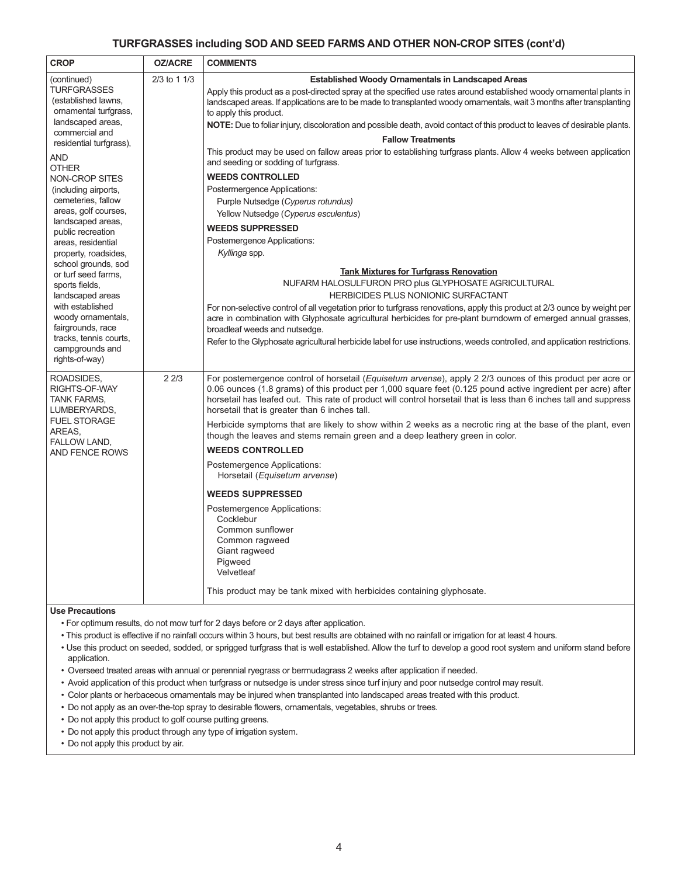#### **TURFGRASSES including SOD AND SEED FARMS AND OTHER NON-CROP SITES (cont'd)**

| <b>CROP</b>                                                                                                                                                                                                                                                                                                                                                                                                                                                                                                                                                                         | <b>OZ/ACRE</b> | <b>COMMENTS</b>                                                                                                                                                                                                                                                                                                                                                                                                                                                                                                                                                                                                                                                                                                                                                                                                                                                                                                                      |
|-------------------------------------------------------------------------------------------------------------------------------------------------------------------------------------------------------------------------------------------------------------------------------------------------------------------------------------------------------------------------------------------------------------------------------------------------------------------------------------------------------------------------------------------------------------------------------------|----------------|--------------------------------------------------------------------------------------------------------------------------------------------------------------------------------------------------------------------------------------------------------------------------------------------------------------------------------------------------------------------------------------------------------------------------------------------------------------------------------------------------------------------------------------------------------------------------------------------------------------------------------------------------------------------------------------------------------------------------------------------------------------------------------------------------------------------------------------------------------------------------------------------------------------------------------------|
| (continued)<br><b>TURFGRASSES</b><br>(established lawns,<br>ornamental turfgrass,<br>landscaped areas,<br>commercial and<br>residential turfgrass),<br>AND<br><b>OTHER</b><br><b>NON-CROP SITES</b><br>(including airports,<br>cemeteries, fallow<br>areas, golf courses,<br>landscaped areas,<br>public recreation<br>areas, residential<br>property, roadsides,<br>school grounds, sod<br>or turf seed farms.<br>sports fields,<br>landscaped areas<br>with established<br>woody ornamentals,<br>fairgrounds, race<br>tracks, tennis courts,<br>campgrounds and<br>rights-of-way) | $2/3$ to 1 1/3 | <b>Established Woody Ornamentals in Landscaped Areas</b><br>Apply this product as a post-directed spray at the specified use rates around established woody ornamental plants in<br>landscaped areas. If applications are to be made to transplanted woody ornamentals, wait 3 months after transplanting<br>to apply this product.<br>NOTE: Due to foliar injury, discoloration and possible death, avoid contact of this product to leaves of desirable plants.<br><b>Fallow Treatments</b><br>This product may be used on fallow areas prior to establishing turfgrass plants. Allow 4 weeks between application<br>and seeding or sodding of turfgrass.<br><b>WEEDS CONTROLLED</b><br>Postermergence Applications:<br>Purple Nutsedge (Cyperus rotundus)<br>Yellow Nutsedge (Cyperus esculentus)                                                                                                                                 |
|                                                                                                                                                                                                                                                                                                                                                                                                                                                                                                                                                                                     |                | <b>WEEDS SUPPRESSED</b><br>Postemergence Applications:<br>Kyllinga spp.<br><b>Tank Mixtures for Turfgrass Renovation</b><br>NUFARM HALOSULFURON PRO plus GLYPHOSATE AGRICULTURAL<br>HERBICIDES PLUS NONIONIC SURFACTANT<br>For non-selective control of all vegetation prior to turfgrass renovations, apply this product at 2/3 ounce by weight per<br>acre in combination with Glyphosate agricultural herbicides for pre-plant burndowm of emerged annual grasses,<br>broadleaf weeds and nutsedge.<br>Refer to the Glyphosate agricultural herbicide label for use instructions, weeds controlled, and application restrictions.                                                                                                                                                                                                                                                                                                 |
| ROADSIDES,<br>RIGHTS-OF-WAY<br>TANK FARMS,<br>LUMBERYARDS,<br><b>FUEL STORAGE</b><br>AREAS,<br><b>FALLOW LAND,</b><br>AND FENCE ROWS                                                                                                                                                                                                                                                                                                                                                                                                                                                | 22/3           | For postemergence control of horsetail ( <i>Equisetum arvense</i> ), apply 2 2/3 ounces of this product per acre or<br>0.06 ounces (1.8 grams) of this product per 1,000 square feet (0.125 pound active ingredient per acre) after<br>horsetail has leafed out. This rate of product will control horsetail that is less than 6 inches tall and suppress<br>horsetail that is greater than 6 inches tall.<br>Herbicide symptoms that are likely to show within 2 weeks as a necrotic ring at the base of the plant, even<br>though the leaves and stems remain green and a deep leathery green in color.<br><b>WEEDS CONTROLLED</b><br>Postemergence Applications:<br>Horsetail (Equisetum arvense)<br><b>WEEDS SUPPRESSED</b><br>Postemergence Applications:<br>Cocklebur<br>Common sunflower<br>Common ragweed<br>Giant ragweed<br>Pigweed<br>Velvetleaf<br>This product may be tank mixed with herbicides containing glyphosate. |

#### **Use Precautions**

• For optimum results, do not mow turf for 2 days before or 2 days after application.

- This product is effective if no rainfall occurs within 3 hours, but best results are obtained with no rainfall or irrigation for at least 4 hours.
- Use this product on seeded, sodded, or sprigged turfgrass that is well established. Allow the turf to develop a good root system and uniform stand before application.
- Overseed treated areas with annual or perennial ryegrass or bermudagrass 2 weeks after application if needed.
- Avoid application of this product when turfgrass or nutsedge is under stress since turf injury and poor nutsedge control may result.
- Color plants or herbaceous ornamentals may be injured when transplanted into landscaped areas treated with this product.
- Do not apply as an over-the-top spray to desirable flowers, ornamentals, vegetables, shrubs or trees.
- Do not apply this product to golf course putting greens.
- Do not apply this product through any type of irrigation system.
- Do not apply this product by air.